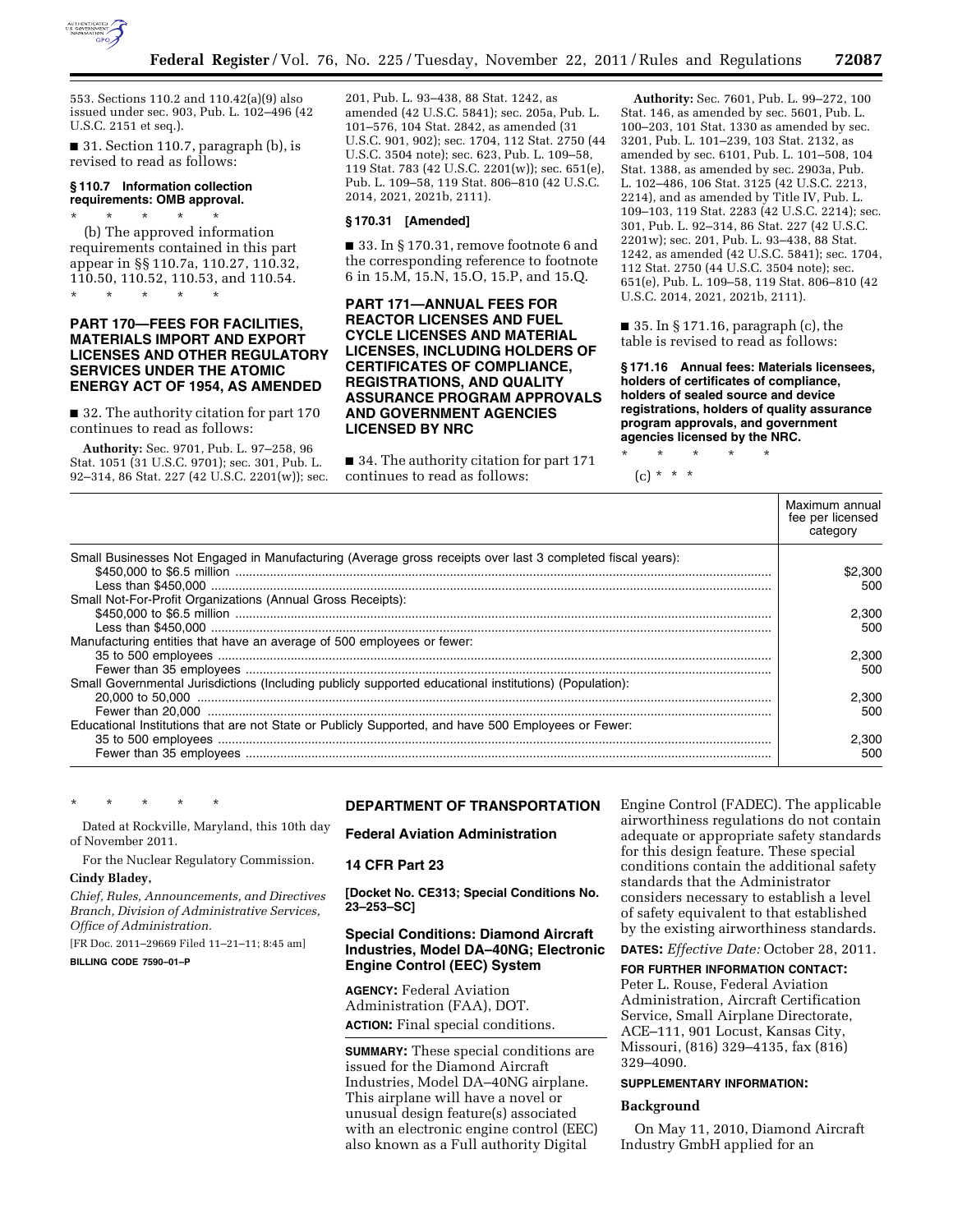

553. Sections 110.2 and 110.42(a)(9) also issued under sec. 903, Pub. L. 102–496 (42 U.S.C. 2151 et seq.).

■ 31. Section 110.7, paragraph (b), is revised to read as follows:

#### **§ 110.7 Information collection requirements: OMB approval.**

\* \* \* \* \* (b) The approved information requirements contained in this part appear in §§ 110.7a, 110.27, 110.32, 110.50, 110.52, 110.53, and 110.54. \* \* \* \* \*

**PART 170—FEES FOR FACILITIES, MATERIALS IMPORT AND EXPORT LICENSES AND OTHER REGULATORY SERVICES UNDER THE ATOMIC** 

■ 32. The authority citation for part 170 continues to read as follows:

**ENERGY ACT OF 1954, AS AMENDED** 

**Authority:** Sec. 9701, Pub. L. 97–258, 96 Stat. 1051 (31 U.S.C. 9701); sec. 301, Pub. L. 92–314, 86 Stat. 227 (42 U.S.C. 2201(w)); sec. 201, Pub. L. 93–438, 88 Stat. 1242, as amended (42 U.S.C. 5841); sec. 205a, Pub. L. 101–576, 104 Stat. 2842, as amended (31 U.S.C. 901, 902); sec. 1704, 112 Stat. 2750 (44 U.S.C. 3504 note); sec. 623, Pub. L. 109–58, 119 Stat. 783 (42 U.S.C. 2201(w)); sec. 651(e), Pub. L. 109–58, 119 Stat. 806–810 (42 U.S.C. 2014, 2021, 2021b, 2111).

### **§ 170.31 [Amended]**

■ 33. In § 170.31, remove footnote 6 and the corresponding reference to footnote 6 in 15.M, 15.N, 15.O, 15.P, and 15.Q.

**PART 171—ANNUAL FEES FOR REACTOR LICENSES AND FUEL CYCLE LICENSES AND MATERIAL LICENSES, INCLUDING HOLDERS OF CERTIFICATES OF COMPLIANCE, REGISTRATIONS, AND QUALITY ASSURANCE PROGRAM APPROVALS AND GOVERNMENT AGENCIES LICENSED BY NRC** 

■ 34. The authority citation for part 171 continues to read as follows:

**Authority:** Sec. 7601, Pub. L. 99–272, 100 Stat. 146, as amended by sec. 5601, Pub. L. 100–203, 101 Stat. 1330 as amended by sec. 3201, Pub. L. 101–239, 103 Stat. 2132, as amended by sec. 6101, Pub. L. 101–508, 104 Stat. 1388, as amended by sec. 2903a, Pub. L. 102–486, 106 Stat. 3125 (42 U.S.C. 2213, 2214), and as amended by Title IV, Pub. L. 109–103, 119 Stat. 2283 (42 U.S.C. 2214); sec. 301, Pub. L. 92–314, 86 Stat. 227 (42 U.S.C. 2201w); sec. 201, Pub. L. 93–438, 88 Stat. 1242, as amended (42 U.S.C. 5841); sec. 1704, 112 Stat. 2750 (44 U.S.C. 3504 note); sec. 651(e), Pub. L. 109–58, 119 Stat. 806–810 (42 U.S.C. 2014, 2021, 2021b, 2111).

■ 35. In § 171.16, paragraph (c), the table is revised to read as follows:

**§ 171.16 Annual fees: Materials licensees, holders of certificates of compliance, holders of sealed source and device registrations, holders of quality assurance program approvals, and government agencies licensed by the NRC.** 

\* \* \* \* \* (c) \* \* \*

|                                                                                                            | Maximum annual<br>fee per licensed<br>category |
|------------------------------------------------------------------------------------------------------------|------------------------------------------------|
| Small Businesses Not Engaged in Manufacturing (Average gross receipts over last 3 completed fiscal years): | \$2.300<br>500                                 |
| Small Not-For-Profit Organizations (Annual Gross Receipts):                                                | 2.300                                          |
| Manufacturing entities that have an average of 500 employees or fewer:                                     | 500                                            |
|                                                                                                            | 2.300<br>500                                   |
| Small Governmental Jurisdictions (Including publicly supported educational institutions) (Population):     | 2.300                                          |
| Educational Institutions that are not State or Publicly Supported, and have 500 Employees or Fewer:        | 500                                            |
|                                                                                                            | 2.300<br>500                                   |

\* \* \* \* \*

Dated at Rockville, Maryland, this 10th day of November 2011.

For the Nuclear Regulatory Commission.

## **Cindy Bladey,**

*Chief, Rules, Announcements, and Directives Branch, Division of Administrative Services, Office of Administration.* 

[FR Doc. 2011–29669 Filed 11–21–11; 8:45 am]

**BILLING CODE 7590–01–P** 

# **DEPARTMENT OF TRANSPORTATION**

**Federal Aviation Administration** 

#### **14 CFR Part 23**

**[Docket No. CE313; Special Conditions No. 23–253–SC]** 

## **Special Conditions: Diamond Aircraft Industries, Model DA–40NG; Electronic Engine Control (EEC) System**

**AGENCY:** Federal Aviation Administration (FAA), DOT. **ACTION:** Final special conditions.

**SUMMARY:** These special conditions are issued for the Diamond Aircraft Industries, Model DA–40NG airplane. This airplane will have a novel or unusual design feature(s) associated with an electronic engine control (EEC) also known as a Full authority Digital

Engine Control (FADEC). The applicable airworthiness regulations do not contain adequate or appropriate safety standards for this design feature. These special conditions contain the additional safety standards that the Administrator considers necessary to establish a level of safety equivalent to that established by the existing airworthiness standards.

**DATES:** *Effective Date:* October 28, 2011.

## **FOR FURTHER INFORMATION CONTACT:**

Peter L. Rouse, Federal Aviation Administration, Aircraft Certification Service, Small Airplane Directorate, ACE–111, 901 Locust, Kansas City, Missouri, (816) 329–4135, fax (816) 329–4090.

#### **SUPPLEMENTARY INFORMATION:**

#### **Background**

On May 11, 2010, Diamond Aircraft Industry GmbH applied for an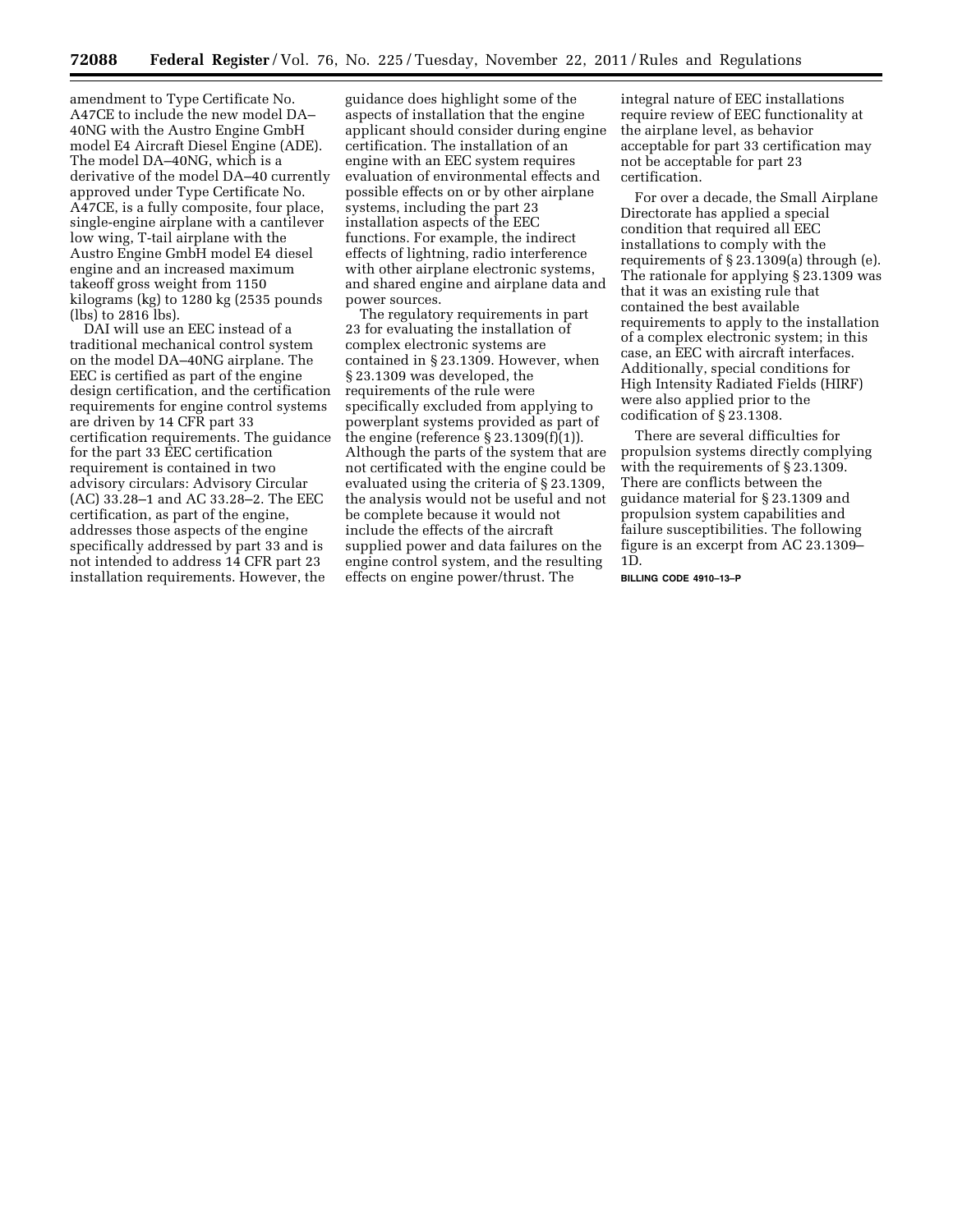amendment to Type Certificate No. A47CE to include the new model DA– 40NG with the Austro Engine GmbH model E4 Aircraft Diesel Engine (ADE). The model DA–40NG, which is a derivative of the model DA–40 currently approved under Type Certificate No. A47CE, is a fully composite, four place, single-engine airplane with a cantilever low wing, T-tail airplane with the Austro Engine GmbH model E4 diesel engine and an increased maximum takeoff gross weight from 1150 kilograms (kg) to 1280 kg (2535 pounds (lbs) to 2816 lbs).

DAI will use an EEC instead of a traditional mechanical control system on the model DA–40NG airplane. The EEC is certified as part of the engine design certification, and the certification requirements for engine control systems are driven by 14 CFR part 33 certification requirements. The guidance for the part 33 EEC certification requirement is contained in two advisory circulars: Advisory Circular (AC) 33.28–1 and AC 33.28–2. The EEC certification, as part of the engine, addresses those aspects of the engine specifically addressed by part 33 and is not intended to address 14 CFR part 23 installation requirements. However, the

guidance does highlight some of the aspects of installation that the engine applicant should consider during engine certification. The installation of an engine with an EEC system requires evaluation of environmental effects and possible effects on or by other airplane systems, including the part 23 installation aspects of the EEC functions. For example, the indirect effects of lightning, radio interference with other airplane electronic systems, and shared engine and airplane data and power sources.

The regulatory requirements in part 23 for evaluating the installation of complex electronic systems are contained in § 23.1309. However, when § 23.1309 was developed, the requirements of the rule were specifically excluded from applying to powerplant systems provided as part of the engine (reference  $\S 23.1309(f)(1)$ ). Although the parts of the system that are not certificated with the engine could be evaluated using the criteria of § 23.1309, the analysis would not be useful and not be complete because it would not include the effects of the aircraft supplied power and data failures on the engine control system, and the resulting effects on engine power/thrust. The

integral nature of EEC installations require review of EEC functionality at the airplane level, as behavior acceptable for part 33 certification may not be acceptable for part 23 certification.

For over a decade, the Small Airplane Directorate has applied a special condition that required all EEC installations to comply with the requirements of § 23.1309(a) through (e). The rationale for applying § 23.1309 was that it was an existing rule that contained the best available requirements to apply to the installation of a complex electronic system; in this case, an EEC with aircraft interfaces. Additionally, special conditions for High Intensity Radiated Fields (HIRF) were also applied prior to the codification of § 23.1308.

There are several difficulties for propulsion systems directly complying with the requirements of § 23.1309. There are conflicts between the guidance material for § 23.1309 and propulsion system capabilities and failure susceptibilities. The following figure is an excerpt from AC 23.1309– 1D.

**BILLING CODE 4910–13–P**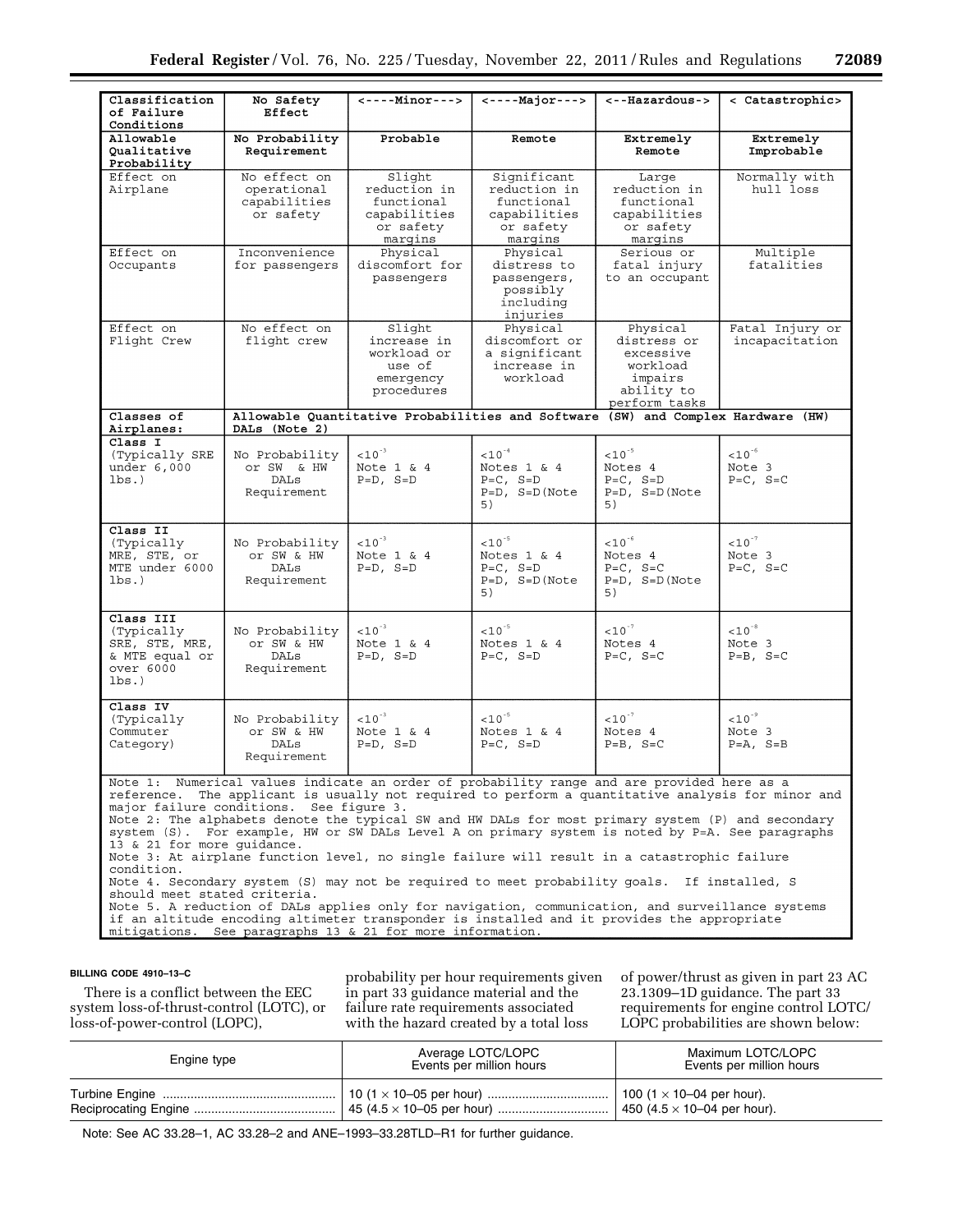| Classification                                                                                                                                                                                                                                                                                                                                                                                                                                                                                                                                                                                                                                                                                                                                                                                                                                                                                                                                                                                  | No Safety                                                                                            | $\leftarrow$ ----Minor--->                                                   | $\leftarrow$ ----Major--->                                                        | <--Hazardous->                                                                             | < Catastrophic>                                       |
|-------------------------------------------------------------------------------------------------------------------------------------------------------------------------------------------------------------------------------------------------------------------------------------------------------------------------------------------------------------------------------------------------------------------------------------------------------------------------------------------------------------------------------------------------------------------------------------------------------------------------------------------------------------------------------------------------------------------------------------------------------------------------------------------------------------------------------------------------------------------------------------------------------------------------------------------------------------------------------------------------|------------------------------------------------------------------------------------------------------|------------------------------------------------------------------------------|-----------------------------------------------------------------------------------|--------------------------------------------------------------------------------------------|-------------------------------------------------------|
| of Failure<br>Conditions                                                                                                                                                                                                                                                                                                                                                                                                                                                                                                                                                                                                                                                                                                                                                                                                                                                                                                                                                                        | Effect                                                                                               |                                                                              |                                                                                   |                                                                                            |                                                       |
| Allowable<br>Qualitative<br>Probability                                                                                                                                                                                                                                                                                                                                                                                                                                                                                                                                                                                                                                                                                                                                                                                                                                                                                                                                                         | No Probability<br>Requirement                                                                        | Probable                                                                     | Remote                                                                            | Extremely<br>Remote                                                                        | Extremely<br>Improbable                               |
| Effect on<br>Airplane                                                                                                                                                                                                                                                                                                                                                                                                                                                                                                                                                                                                                                                                                                                                                                                                                                                                                                                                                                           | No effect on<br>operational<br>capabilities<br>or safety                                             | Slight<br>reduction in<br>functional<br>capabilities<br>or safety<br>margins | Significant<br>reduction in<br>functional<br>capabilities<br>or safety<br>margins | Large<br>reduction in<br>functional<br>capabilities<br>or safety<br>margins                | Normally with<br>hull loss                            |
| Effect on<br>Occupants                                                                                                                                                                                                                                                                                                                                                                                                                                                                                                                                                                                                                                                                                                                                                                                                                                                                                                                                                                          | Inconvenience<br>for passengers                                                                      | Physical<br>discomfort for<br>passengers                                     | Physical<br>distress to<br>passengers,<br>possibly<br>including<br>injuries       | Serious or<br>fatal injury<br>to an occupant                                               | Multiple<br>fatalities                                |
| Effect on<br>Flight Crew                                                                                                                                                                                                                                                                                                                                                                                                                                                                                                                                                                                                                                                                                                                                                                                                                                                                                                                                                                        | No effect on<br>flight crew                                                                          | Slight<br>increase in<br>workload or<br>use of<br>emergency<br>procedures    | Physical<br>discomfort or<br>a significant<br>increase in<br>workload             | Physical<br>distress or<br>excessive<br>workload<br>impairs<br>ability to<br>perform tasks | Fatal Injury or<br>incapacitation                     |
| Classes of<br>Airplanes:                                                                                                                                                                                                                                                                                                                                                                                                                                                                                                                                                                                                                                                                                                                                                                                                                                                                                                                                                                        | Allowable Quantitative Probabilities and Software<br>(SW) and Complex Hardware (HW)<br>DALs (Note 2) |                                                                              |                                                                                   |                                                                                            |                                                       |
| Class I<br>(Typically SRE<br>under $6,000$<br>lbs.                                                                                                                                                                                                                                                                                                                                                                                                                                                                                                                                                                                                                                                                                                                                                                                                                                                                                                                                              | No Probability<br>Or SW & HW<br>DALs<br>Requirement                                                  | $< 10^{-3}$<br>Note $1 \& 4$<br>$P = D$ , $S = D$                            | $< 10^{-4}$<br>Notes 1 & 4<br>$P=C$ , $S=D$<br>$P=D$ , $S=D(Note$<br>5)           | $< 10^{-5}$<br>Notes 4<br>$P=C$ , $S=D$<br>$P=D$ , $S=D(Note$<br>5)                        | $< 10^{-6}$<br>Note 3<br>$P=C$ , $S=C$                |
| Class II<br>(Typically)<br>MRE, STE, or<br>MTE under 6000<br>lbs.                                                                                                                                                                                                                                                                                                                                                                                                                                                                                                                                                                                                                                                                                                                                                                                                                                                                                                                               | No Probability<br>or SW & HW<br>DALs<br>Requirement                                                  | $< 10^{-3}$<br>Note 1 & 4<br>$P = D$ , $S = D$                               | $< 10^{-5}$<br>Notes $1 \& 4$<br>$P=C$ , $S=D$<br>$P=D$ , $S=D(Note$<br>5)        | $<\!10^{5}$<br>Notes 4<br>$P=C$ , $S=C$<br>$P = D$ , $S = D$ (Note<br>5)                   | $<\!\!10^{\,\text{--}\,7}$<br>Note 3<br>$P=C$ , $S=C$ |
| $Class$ $III$<br>(Typically)<br>SRE, STE, MRE,<br>& MTE equal or<br>over 6000<br>lbs.                                                                                                                                                                                                                                                                                                                                                                                                                                                                                                                                                                                                                                                                                                                                                                                                                                                                                                           | No Probability<br>or SW & HW<br>DALs<br>Requirement                                                  | $< 10^{-3}$<br>Note $1 \& 4$<br>$P = D$ , $S = D$                            | $< 10^{-5}$<br>Notes $1 \& 4$<br>$P=C$ , $S=D$                                    | $< 10^{-7}$<br>Notes 4<br>$P=C$ , $S=C$                                                    | $<\!10^{-8}$<br>Note 3<br>$P=B$ , $S=C$               |
| Class IV<br>(Typically<br>Commuter<br>Category)                                                                                                                                                                                                                                                                                                                                                                                                                                                                                                                                                                                                                                                                                                                                                                                                                                                                                                                                                 | No Probability<br>or SW & HW<br>DALs<br>Requirement                                                  | $< 10^{-3}$<br>Note $1 \& 4$<br>$P=D$ , $S=D$                                | $< 10^{-5}$<br>Notes $1 \& 4$<br>$P=C$ , $S=D$                                    | $<\!10^{-7}$<br>Notes 4<br>$P=B$ , $S=C$                                                   | $< 10^{-9}$<br>Note 3<br>$P=A$ , $S=B$                |
| Numerical values indicate an order of probability range and are provided here as a<br>Note 1:<br>reference. The applicant is usually not required to perform a quantitative analysis for minor and<br>major failure conditions. See figure 3.<br>Note 2: The alphabets denote the typical SW and HW DALs for most primary system (P) and secondary<br>system (S). For example, HW or SW DALs Level A on primary system is noted by P=A. See paragraphs<br>13 & 21 for more quidance.<br>Note 3: At airplane function level, no single failure will result in a catastrophic failure<br>condition.<br>Note 4. Secondary system (S) may not be required to meet probability goals. If installed, S<br>should meet stated criteria.<br>Note 5. A reduction of DALs applies only for navigation, communication, and surveillance systems<br>if an altitude encoding altimeter transponder is installed and it provides the appropriate<br>mitigations. See paragraphs 13 & 21 for more information. |                                                                                                      |                                                                              |                                                                                   |                                                                                            |                                                       |

#### **BILLING CODE 4910–13–C**

There is a conflict between the EEC system loss-of-thrust-control (LOTC), or loss-of-power-control (LOPC),

probability per hour requirements given in part 33 guidance material and the failure rate requirements associated with the hazard created by a total loss

of power/thrust as given in part 23 AC 23.1309–1D guidance. The part 33 requirements for engine control LOTC/ LOPC probabilities are shown below:

| Engine type | Average LOTC/LOPC<br>Events per million hours | Maximum LOTC/LOPC<br>Events per million hours |
|-------------|-----------------------------------------------|-----------------------------------------------|
|             |                                               | 100 (1 $\times$ 10–04 per hour).              |
|             |                                               | 450 (4.5 $\times$ 10–04 per hour).            |

Note: See AC 33.28–1, AC 33.28–2 and ANE–1993–33.28TLD–R1 for further guidance.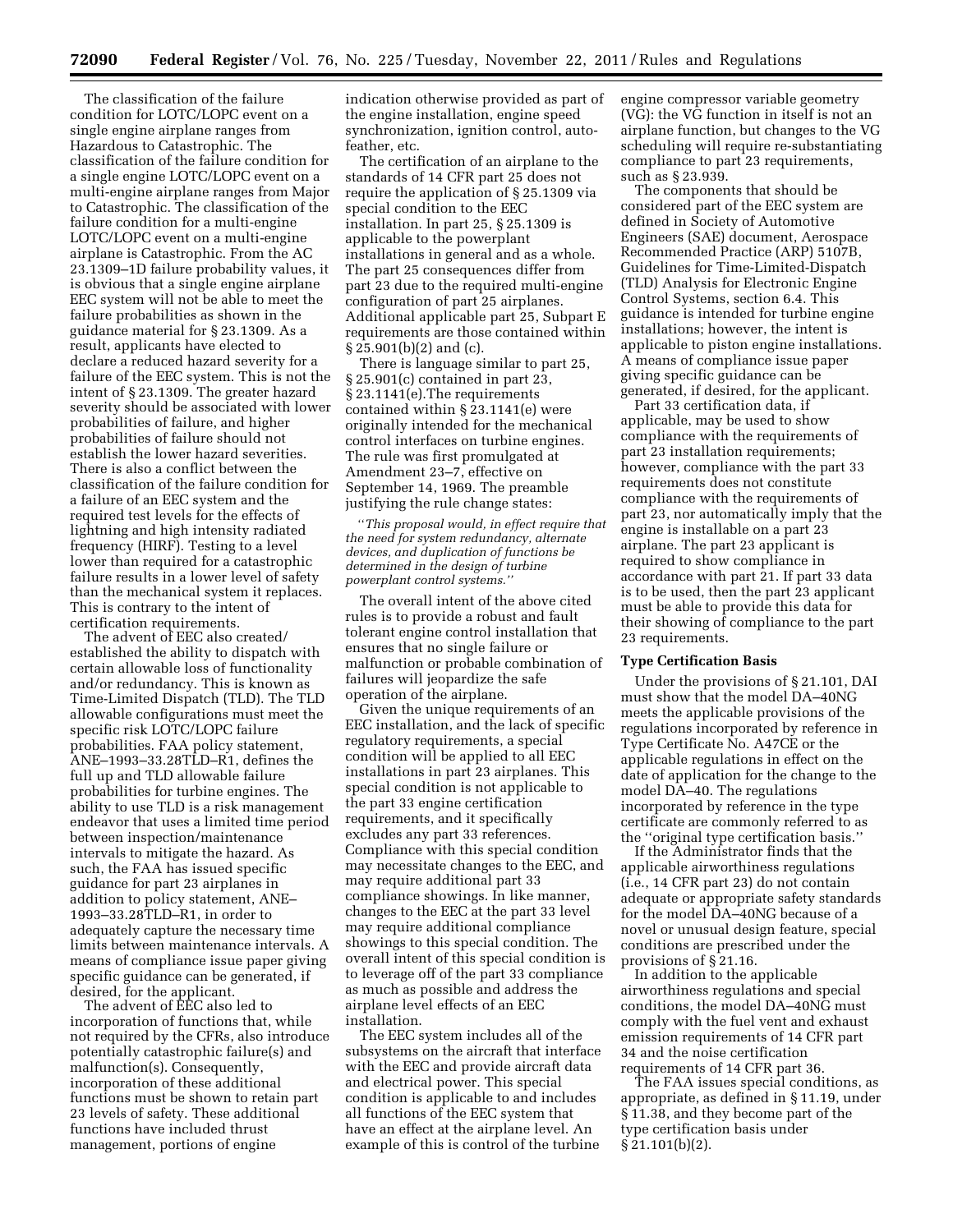The classification of the failure condition for LOTC/LOPC event on a single engine airplane ranges from Hazardous to Catastrophic. The classification of the failure condition for a single engine LOTC/LOPC event on a multi-engine airplane ranges from Major to Catastrophic. The classification of the failure condition for a multi-engine LOTC/LOPC event on a multi-engine airplane is Catastrophic. From the AC 23.1309–1D failure probability values, it is obvious that a single engine airplane EEC system will not be able to meet the failure probabilities as shown in the guidance material for § 23.1309. As a result, applicants have elected to declare a reduced hazard severity for a failure of the EEC system. This is not the intent of § 23.1309. The greater hazard severity should be associated with lower probabilities of failure, and higher probabilities of failure should not establish the lower hazard severities. There is also a conflict between the classification of the failure condition for a failure of an EEC system and the required test levels for the effects of lightning and high intensity radiated frequency (HIRF). Testing to a level lower than required for a catastrophic failure results in a lower level of safety than the mechanical system it replaces. This is contrary to the intent of certification requirements.

The advent of EEC also created/ established the ability to dispatch with certain allowable loss of functionality and/or redundancy. This is known as Time-Limited Dispatch (TLD). The TLD allowable configurations must meet the specific risk LOTC/LOPC failure probabilities. FAA policy statement, ANE–1993–33.28TLD–R1, defines the full up and TLD allowable failure probabilities for turbine engines. The ability to use TLD is a risk management endeavor that uses a limited time period between inspection/maintenance intervals to mitigate the hazard. As such, the FAA has issued specific guidance for part 23 airplanes in addition to policy statement, ANE– 1993–33.28TLD–R1, in order to adequately capture the necessary time limits between maintenance intervals. A means of compliance issue paper giving specific guidance can be generated, if desired, for the applicant.

The advent of EEC also led to incorporation of functions that, while not required by the CFRs, also introduce potentially catastrophic failure(s) and malfunction(s). Consequently, incorporation of these additional functions must be shown to retain part 23 levels of safety. These additional functions have included thrust management, portions of engine

indication otherwise provided as part of the engine installation, engine speed synchronization, ignition control, autofeather, etc.

The certification of an airplane to the standards of 14 CFR part 25 does not require the application of § 25.1309 via special condition to the EEC installation. In part 25, § 25.1309 is applicable to the powerplant installations in general and as a whole. The part 25 consequences differ from part 23 due to the required multi-engine configuration of part 25 airplanes. Additional applicable part 25, Subpart E requirements are those contained within § 25.901(b)(2) and (c).

There is language similar to part 25, § 25.901(c) contained in part 23, § 23.1141(e).The requirements contained within § 23.1141(e) were originally intended for the mechanical control interfaces on turbine engines. The rule was first promulgated at Amendment 23–7, effective on September 14, 1969. The preamble justifying the rule change states:

''*This proposal would, in effect require that the need for system redundancy, alternate devices, and duplication of functions be determined in the design of turbine powerplant control systems.''* 

The overall intent of the above cited rules is to provide a robust and fault tolerant engine control installation that ensures that no single failure or malfunction or probable combination of failures will jeopardize the safe operation of the airplane.

Given the unique requirements of an EEC installation, and the lack of specific regulatory requirements, a special condition will be applied to all EEC installations in part 23 airplanes. This special condition is not applicable to the part 33 engine certification requirements, and it specifically excludes any part 33 references. Compliance with this special condition may necessitate changes to the EEC, and may require additional part 33 compliance showings. In like manner, changes to the EEC at the part 33 level may require additional compliance showings to this special condition. The overall intent of this special condition is to leverage off of the part 33 compliance as much as possible and address the airplane level effects of an EEC installation.

The EEC system includes all of the subsystems on the aircraft that interface with the EEC and provide aircraft data and electrical power. This special condition is applicable to and includes all functions of the EEC system that have an effect at the airplane level. An example of this is control of the turbine

engine compressor variable geometry (VG): the VG function in itself is not an airplane function, but changes to the VG scheduling will require re-substantiating compliance to part 23 requirements, such as § 23.939.

The components that should be considered part of the EEC system are defined in Society of Automotive Engineers (SAE) document, Aerospace Recommended Practice (ARP) 5107B, Guidelines for Time-Limited-Dispatch (TLD) Analysis for Electronic Engine Control Systems, section 6.4. This guidance is intended for turbine engine installations; however, the intent is applicable to piston engine installations. A means of compliance issue paper giving specific guidance can be generated, if desired, for the applicant.

Part 33 certification data, if applicable, may be used to show compliance with the requirements of part 23 installation requirements; however, compliance with the part 33 requirements does not constitute compliance with the requirements of part 23, nor automatically imply that the engine is installable on a part 23 airplane. The part 23 applicant is required to show compliance in accordance with part 21. If part 33 data is to be used, then the part 23 applicant must be able to provide this data for their showing of compliance to the part 23 requirements.

#### **Type Certification Basis**

Under the provisions of § 21.101, DAI must show that the model DA–40NG meets the applicable provisions of the regulations incorporated by reference in Type Certificate No. A47CE or the applicable regulations in effect on the date of application for the change to the model DA–40. The regulations incorporated by reference in the type certificate are commonly referred to as the ''original type certification basis.''

If the Administrator finds that the applicable airworthiness regulations (i.e., 14 CFR part 23) do not contain adequate or appropriate safety standards for the model DA–40NG because of a novel or unusual design feature, special conditions are prescribed under the provisions of § 21.16.

In addition to the applicable airworthiness regulations and special conditions, the model DA–40NG must comply with the fuel vent and exhaust emission requirements of 14 CFR part 34 and the noise certification requirements of 14 CFR part 36.

The FAA issues special conditions, as appropriate, as defined in § 11.19, under § 11.38, and they become part of the type certification basis under § 21.101(b)(2).